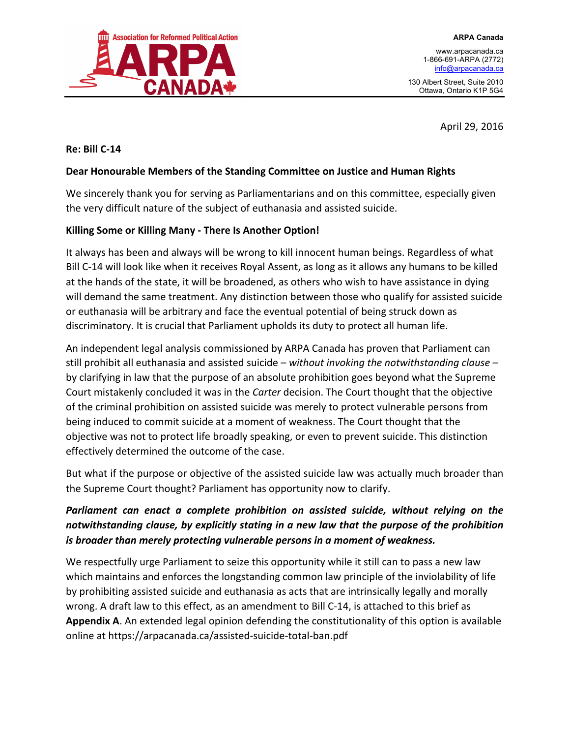

www.arpacanada.ca 1-866-691-ARPA (2772) info@arpacanada.ca

130 Albert Street, Suite 2010 Ottawa, Ontario K1P 5G4

April 29, 2016

## **Re: Bill C-14**

## Dear Honourable Members of the Standing Committee on Justice and Human Rights

We sincerely thank you for serving as Parliamentarians and on this committee, especially given the very difficult nature of the subject of euthanasia and assisted suicide.

## Killing Some or Killing Many - There Is Another Option!

It always has been and always will be wrong to kill innocent human beings. Regardless of what Bill C-14 will look like when it receives Royal Assent, as long as it allows any humans to be killed at the hands of the state, it will be broadened, as others who wish to have assistance in dying will demand the same treatment. Any distinction between those who qualify for assisted suicide or euthanasia will be arbitrary and face the eventual potential of being struck down as discriminatory. It is crucial that Parliament upholds its duty to protect all human life.

An independent legal analysis commissioned by ARPA Canada has proven that Parliament can still prohibit all euthanasia and assisted suicide – *without invoking the notwithstanding clause* – by clarifying in law that the purpose of an absolute prohibition goes beyond what the Supreme Court mistakenly concluded it was in the *Carter* decision. The Court thought that the objective of the criminal prohibition on assisted suicide was merely to protect vulnerable persons from being induced to commit suicide at a moment of weakness. The Court thought that the objective was not to protect life broadly speaking, or even to prevent suicide. This distinction effectively determined the outcome of the case.

But what if the purpose or objective of the assisted suicide law was actually much broader than the Supreme Court thought? Parliament has opportunity now to clarify.

## **Parliament** can enact a complete prohibition on assisted suicide, without relying on the notwithstanding clause, by explicitly stating in a new law that the purpose of the prohibition *is* broader than merely protecting vulnerable persons in a moment of weakness.

We respectfully urge Parliament to seize this opportunity while it still can to pass a new law which maintains and enforces the longstanding common law principle of the inviolability of life by prohibiting assisted suicide and euthanasia as acts that are intrinsically legally and morally wrong. A draft law to this effect, as an amendment to Bill C-14, is attached to this brief as **Appendix A.** An extended legal opinion defending the constitutionality of this option is available online at https://arpacanada.ca/assisted-suicide-total-ban.pdf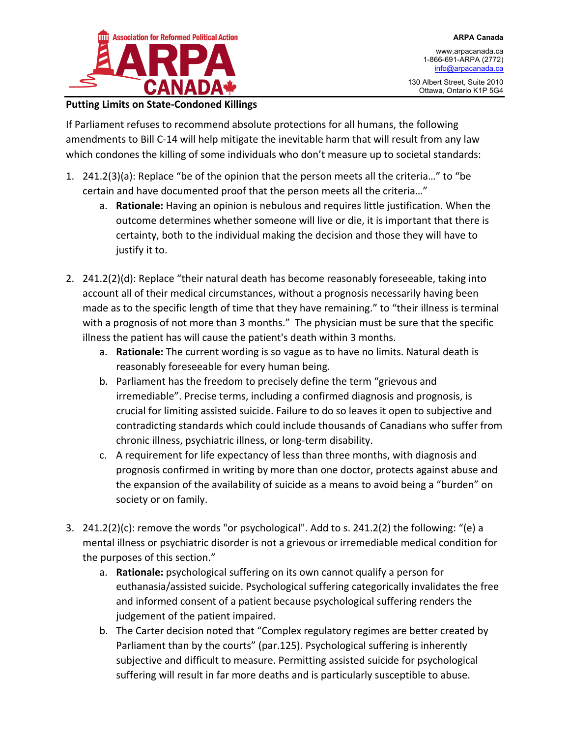

www.arpacanada.ca 1-866-691-ARPA (2772) info@arpacanada.ca

130 Albert Street, Suite 2010 Ottawa, Ontario K1P 5G4

## **Putting Limits on State-Condoned Killings**

If Parliament refuses to recommend absolute protections for all humans, the following amendments to Bill C-14 will help mitigate the inevitable harm that will result from any law which condones the killing of some individuals who don't measure up to societal standards:

- 1.  $241.2(3)(a)$ : Replace "be of the opinion that the person meets all the criteria..." to "be certain and have documented proof that the person meets all the criteria..."
	- a. **Rationale:** Having an opinion is nebulous and requires little justification. When the outcome determines whether someone will live or die, it is important that there is certainty, both to the individual making the decision and those they will have to justify it to.
- 2. 241.2(2)(d): Replace "their natural death has become reasonably foreseeable, taking into account all of their medical circumstances, without a prognosis necessarily having been made as to the specific length of time that they have remaining." to "their illness is terminal with a prognosis of not more than 3 months." The physician must be sure that the specific illness the patient has will cause the patient's death within 3 months.
	- a. **Rationale:** The current wording is so vague as to have no limits. Natural death is reasonably foreseeable for every human being.
	- b. Parliament has the freedom to precisely define the term "grievous and irremediable". Precise terms, including a confirmed diagnosis and prognosis, is crucial for limiting assisted suicide. Failure to do so leaves it open to subjective and contradicting standards which could include thousands of Canadians who suffer from chronic illness, psychiatric illness, or long-term disability.
	- c. A requirement for life expectancy of less than three months, with diagnosis and prognosis confirmed in writing by more than one doctor, protects against abuse and the expansion of the availability of suicide as a means to avoid being a "burden" on society or on family.
- 3.  $241.2(2)(c)$ : remove the words "or psychological". Add to s. 241.2(2) the following: "(e) a mental illness or psychiatric disorder is not a grievous or irremediable medical condition for the purposes of this section."
	- a. **Rationale:** psychological suffering on its own cannot qualify a person for euthanasia/assisted suicide. Psychological suffering categorically invalidates the free and informed consent of a patient because psychological suffering renders the judgement of the patient impaired.
	- b. The Carter decision noted that "Complex regulatory regimes are better created by Parliament than by the courts" (par.125). Psychological suffering is inherently subjective and difficult to measure. Permitting assisted suicide for psychological suffering will result in far more deaths and is particularly susceptible to abuse.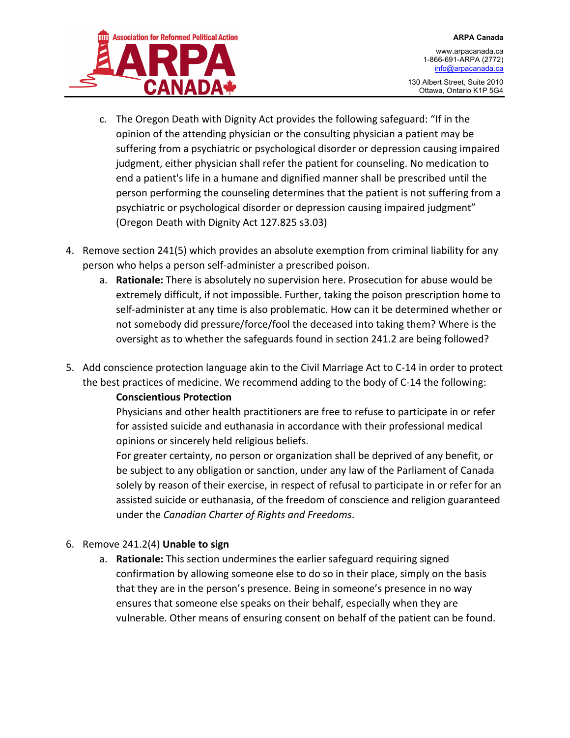

130 Albert Street, Suite 2010 Ottawa, Ontario K1P 5G4

- c. The Oregon Death with Dignity Act provides the following safeguard: "If in the opinion of the attending physician or the consulting physician a patient may be suffering from a psychiatric or psychological disorder or depression causing impaired judgment, either physician shall refer the patient for counseling. No medication to end a patient's life in a humane and dignified manner shall be prescribed until the person performing the counseling determines that the patient is not suffering from a psychiatric or psychological disorder or depression causing impaired judgment" (Oregon Death with Dignity Act 127.825 s3.03)
- 4. Remove section 241(5) which provides an absolute exemption from criminal liability for any person who helps a person self-administer a prescribed poison.
	- a. **Rationale:** There is absolutely no supervision here. Prosecution for abuse would be extremely difficult, if not impossible. Further, taking the poison prescription home to self-administer at any time is also problematic. How can it be determined whether or not somebody did pressure/force/fool the deceased into taking them? Where is the oversight as to whether the safeguards found in section 241.2 are being followed?
- 5. Add conscience protection language akin to the Civil Marriage Act to C-14 in order to protect the best practices of medicine. We recommend adding to the body of C-14 the following:

## **Conscientious Protection**

Physicians and other health practitioners are free to refuse to participate in or refer for assisted suicide and euthanasia in accordance with their professional medical opinions or sincerely held religious beliefs.

For greater certainty, no person or organization shall be deprived of any benefit, or be subject to any obligation or sanction, under any law of the Parliament of Canada solely by reason of their exercise, in respect of refusal to participate in or refer for an assisted suicide or euthanasia, of the freedom of conscience and religion guaranteed under the *Canadian Charter of Rights and Freedoms*.

## 6. Remove 241.2(4) Unable to sign

a. **Rationale:** This section undermines the earlier safeguard requiring signed confirmation by allowing someone else to do so in their place, simply on the basis that they are in the person's presence. Being in someone's presence in no way ensures that someone else speaks on their behalf, especially when they are vulnerable. Other means of ensuring consent on behalf of the patient can be found.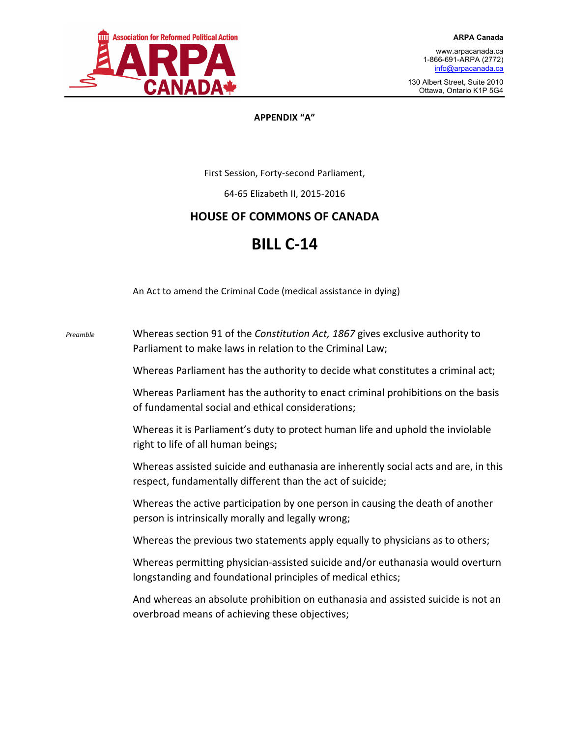

**ARPA Canada**

130 Albert Street, Suite 2010 Ottawa, Ontario K1P 5G4

#### **APPENDIX "A"**

First Session, Forty-second Parliament,

64-65 Elizabeth II, 2015-2016

## **HOUSE OF COMMONS OF CANADA**

# **BILL C-14**

An Act to amend the Criminal Code (medical assistance in dying)

*Preamble* Whereas section 91 of the *Constitution Act, 1867* gives exclusive authority to Parliament to make laws in relation to the Criminal Law; Whereas Parliament has the authority to decide what constitutes a criminal act; Whereas Parliament has the authority to enact criminal prohibitions on the basis of fundamental social and ethical considerations: Whereas it is Parliament's duty to protect human life and uphold the inviolable right to life of all human beings; Whereas assisted suicide and euthanasia are inherently social acts and are, in this respect, fundamentally different than the act of suicide; Whereas the active participation by one person in causing the death of another person is intrinsically morally and legally wrong; Whereas the previous two statements apply equally to physicians as to others; Whereas permitting physician-assisted suicide and/or euthanasia would overturn longstanding and foundational principles of medical ethics; And whereas an absolute prohibition on euthanasia and assisted suicide is not an overbroad means of achieving these objectives;